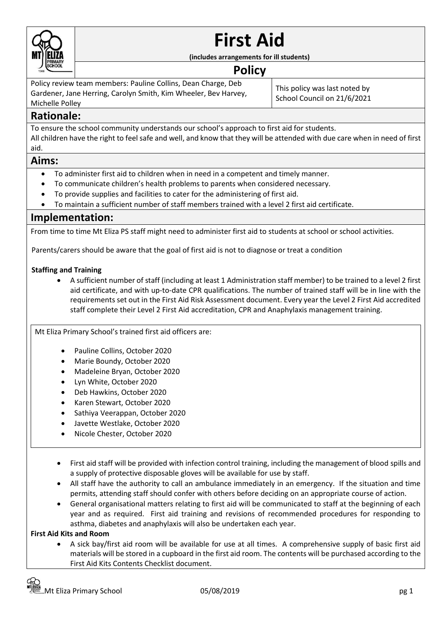

# **First Aid**

**(includes arrangements for ill students)**

## **Policy**

Policy review team members: Pauline Collins, Dean Charge, Deb Gardener, Jane Herring, Carolyn Smith, Kim Wheeler, Bev Harvey, Michelle Polley

This policy was last noted by School Council on 21/6/2021

## **Rationale:**

To ensure the school community understands our school's approach to first aid for students. All children have the right to feel safe and well, and know that they will be attended with due care when in need of first aid.

## **Aims:**

- To administer first aid to children when in need in a competent and timely manner.
- To communicate children's health problems to parents when considered necessary.
- To provide supplies and facilities to cater for the administering of first aid.
- To maintain a sufficient number of staff members trained with a level 2 first aid certificate.

### **Implementation:**

From time to time Mt Eliza PS staff might need to administer first aid to students at school or school activities.

Parents/carers should be aware that the goal of first aid is not to diagnose or treat a condition

#### **Staffing and Training**

 A sufficient number of staff (including at least 1 Administration staff member) to be trained to a level 2 first aid certificate, and with up-to-date CPR qualifications. The number of trained staff will be in line with the requirements set out in the First Aid Risk Assessment document. Every year the Level 2 First Aid accredited staff complete their Level 2 First Aid accreditation, CPR and Anaphylaxis management training.

Mt Eliza Primary School's trained first aid officers are:

- Pauline Collins, October 2020
- Marie Boundy, October 2020
- Madeleine Bryan, October 2020
- Lyn White, October 2020
- Deb Hawkins, October 2020
- Karen Stewart, October 2020
- Sathiya Veerappan, October 2020
- Javette Westlake, October 2020
- Nicole Chester, October 2020
- First aid staff will be provided with infection control training, including the management of blood spills and a supply of protective disposable gloves will be available for use by staff.
- All staff have the authority to call an ambulance immediately in an emergency. If the situation and time permits, attending staff should confer with others before deciding on an appropriate course of action.
- General organisational matters relating to first aid will be communicated to staff at the beginning of each year and as required. First aid training and revisions of recommended procedures for responding to asthma, diabetes and anaphylaxis will also be undertaken each year.

#### **First Aid Kits and Room**

 A sick bay/first aid room will be available for use at all times. A comprehensive supply of basic first aid materials will be stored in a cupboard in the first aid room. The contents will be purchased according to the First Aid Kits Contents Checklist document.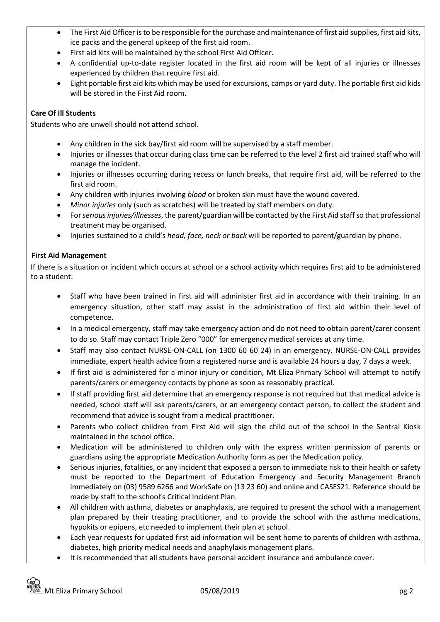- The First Aid Officer is to be responsible for the purchase and maintenance of first aid supplies, first aid kits, ice packs and the general upkeep of the first aid room.
- First aid kits will be maintained by the school First Aid Officer.
- A confidential up-to-date register located in the first aid room will be kept of all injuries or illnesses experienced by children that require first aid.
- Eight portable first aid kits which may be used for excursions, camps or yard duty. The portable first aid kids will be stored in the First Aid room.

#### **Care Of Ill Students**

Students who are unwell should not attend school.

- Any children in the sick bay/first aid room will be supervised by a staff member.
- Injuries or illnesses that occur during class time can be referred to the level 2 first aid trained staff who will manage the incident.
- Injuries or illnesses occurring during recess or lunch breaks, that require first aid, will be referred to the first aid room.
- Any children with injuries involving *blood* or broken skin must have the wound covered.
- *Minor injuries* only (such as scratches) will be treated by staff members on duty.
- For *serious injuries/illnesses*, the parent/guardian will be contacted by the First Aid staff so that professional treatment may be organised.
- Injuries sustained to a child's *head, face, neck or back* will be reported to parent/guardian by phone.

#### **First Aid Management**

If there is a situation or incident which occurs at school or a school activity which requires first aid to be administered to a student:

- Staff who have been trained in first aid will administer first aid in accordance with their training. In an emergency situation, other staff may assist in the administration of first aid within their level of competence.
- In a medical emergency, staff may take emergency action and do not need to obtain parent/carer consent to do so. Staff may contact Triple Zero "000" for emergency medical services at any time.
- Staff may also contact NURSE-ON-CALL (on 1300 60 60 24) in an emergency. NURSE-ON-CALL provides immediate, expert health advice from a registered nurse and is available 24 hours a day, 7 days a week.
- If first aid is administered for a minor injury or condition, Mt Eliza Primary School will attempt to notify parents/carers or emergency contacts by phone as soon as reasonably practical.
- If staff providing first aid determine that an emergency response is not required but that medical advice is needed, school staff will ask parents/carers, or an emergency contact person, to collect the student and recommend that advice is sought from a medical practitioner.
- Parents who collect children from First Aid will sign the child out of the school in the Sentral Kiosk maintained in the school office.
- Medication will be administered to children only with the express written permission of parents or guardians using the appropriate Medication Authority form as per the Medication policy.
- Serious injuries, fatalities, or any incident that exposed a person to immediate risk to their health or safety must be reported to the Department of Education Emergency and Security Management Branch immediately on (03) 9589 6266 and WorkSafe on (13 23 60) and online and CASES21. Reference should be made by staff to the school's Critical Incident Plan.
- All children with asthma, diabetes or anaphylaxis, are required to present the school with a management plan prepared by their treating practitioner, and to provide the school with the asthma medications, hypokits or epipens, etc needed to implement their plan at school.
- Each year requests for updated first aid information will be sent home to parents of children with asthma, diabetes, high priority medical needs and anaphylaxis management plans.
- It is recommended that all students have personal accident insurance and ambulance cover.